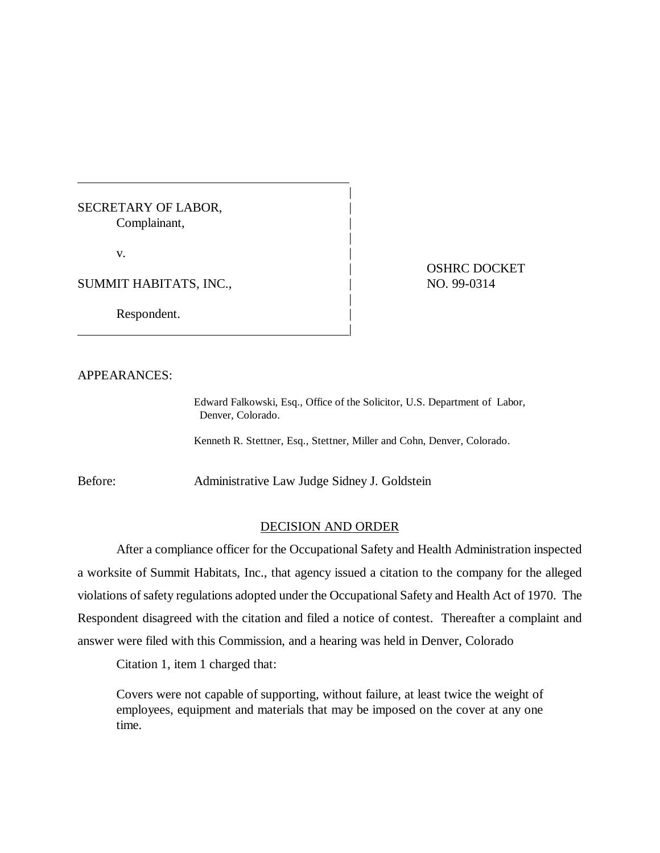## SECRETARY OF LABOR, Complainant,

 $\mathbf{v}$ .

SUMMIT HABITATS, INC.,  $\qquad \qquad |$  NO. 99-0314

|

Respondent.

| OSHRC DOCKET

## APPEARANCES:

Edward Falkowski, Esq., Office of the Solicitor, U.S. Department of Labor, Denver, Colorado.

Kenneth R. Stettner, Esq., Stettner, Miller and Cohn, Denver, Colorado.

|

|

|

Before: Administrative Law Judge Sidney J. Goldstein

## DECISION AND ORDER

After a compliance officer for the Occupational Safety and Health Administration inspected a worksite of Summit Habitats, Inc., that agency issued a citation to the company for the alleged violations of safety regulations adopted under the Occupational Safety and Health Act of 1970. The Respondent disagreed with the citation and filed a notice of contest. Thereafter a complaint and answer were filed with this Commission, and a hearing was held in Denver, Colorado

Citation 1, item 1 charged that:

Covers were not capable of supporting, without failure, at least twice the weight of employees, equipment and materials that may be imposed on the cover at any one time.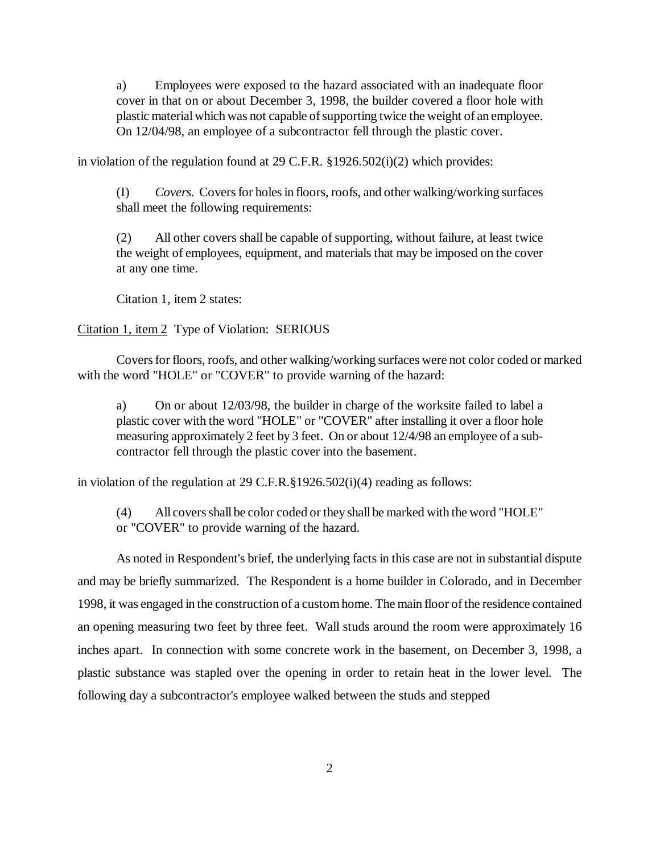a) Employees were exposed to the hazard associated with an inadequate floor cover in that on or about December 3, 1998, the builder covered a floor hole with plastic material which was not capable of supporting twice the weight of an employee. On 12/04/98, an employee of a subcontractor fell through the plastic cover.

in violation of the regulation found at 29 C.F.R.  $\S 1926.502(i)(2)$  which provides:

(I) *Covers.* Covers for holes in floors, roofs, and other walking/working surfaces shall meet the following requirements:

(2) All other covers shall be capable of supporting, without failure, at least twice the weight of employees, equipment, and materials that may be imposed on the cover at any one time.

Citation 1, item 2 states:

## Citation 1, item 2 Type of Violation: SERIOUS

Covers for floors, roofs, and other walking/working surfaces were not color coded or marked with the word "HOLE" or "COVER" to provide warning of the hazard:

a) On or about 12/03/98, the builder in charge of the worksite failed to label a plastic cover with the word "HOLE" or "COVER" after installing it over a floor hole measuring approximately 2 feet by 3 feet. On or about 12/4/98 an employee of a subcontractor fell through the plastic cover into the basement.

in violation of the regulation at 29 C.F.R.§1926.502(i)(4) reading as follows:

(4) All covers shall be color coded or they shall be marked with the word "HOLE" or "COVER" to provide warning of the hazard.

As noted in Respondent's brief, the underlying facts in this case are not in substantial dispute and may be briefly summarized. The Respondent is a home builder in Colorado, and in December 1998, it was engaged in the construction of a custom home. The main floor of the residence contained an opening measuring two feet by three feet. Wall studs around the room were approximately 16 inches apart. In connection with some concrete work in the basement, on December 3, 1998, a plastic substance was stapled over the opening in order to retain heat in the lower level. The following day a subcontractor's employee walked between the studs and stepped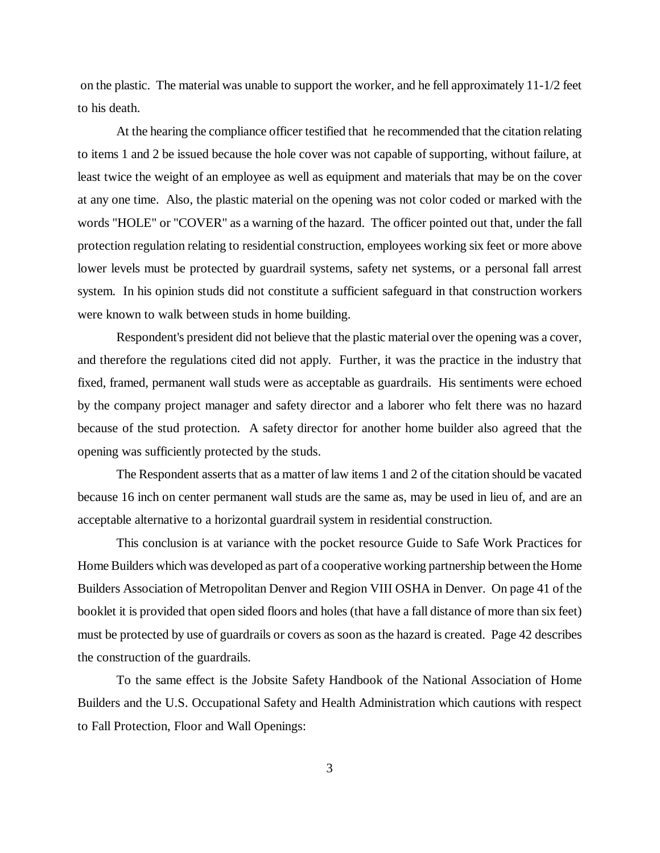on the plastic. The material was unable to support the worker, and he fell approximately 11-1/2 feet to his death.

At the hearing the compliance officer testified that he recommended that the citation relating to items 1 and 2 be issued because the hole cover was not capable of supporting, without failure, at least twice the weight of an employee as well as equipment and materials that may be on the cover at any one time. Also, the plastic material on the opening was not color coded or marked with the words "HOLE" or "COVER" as a warning of the hazard. The officer pointed out that, under the fall protection regulation relating to residential construction, employees working six feet or more above lower levels must be protected by guardrail systems, safety net systems, or a personal fall arrest system. In his opinion studs did not constitute a sufficient safeguard in that construction workers were known to walk between studs in home building.

Respondent's president did not believe that the plastic material over the opening was a cover, and therefore the regulations cited did not apply. Further, it was the practice in the industry that fixed, framed, permanent wall studs were as acceptable as guardrails. His sentiments were echoed by the company project manager and safety director and a laborer who felt there was no hazard because of the stud protection. A safety director for another home builder also agreed that the opening was sufficiently protected by the studs.

The Respondent asserts that as a matter of law items 1 and 2 of the citation should be vacated because 16 inch on center permanent wall studs are the same as, may be used in lieu of, and are an acceptable alternative to a horizontal guardrail system in residential construction.

This conclusion is at variance with the pocket resource Guide to Safe Work Practices for Home Builders which was developed as part of a cooperative working partnership between the Home Builders Association of Metropolitan Denver and Region VIII OSHA in Denver. On page 41 of the booklet it is provided that open sided floors and holes (that have a fall distance of more than six feet) must be protected by use of guardrails or covers as soon as the hazard is created. Page 42 describes the construction of the guardrails.

To the same effect is the Jobsite Safety Handbook of the National Association of Home Builders and the U.S. Occupational Safety and Health Administration which cautions with respect to Fall Protection, Floor and Wall Openings: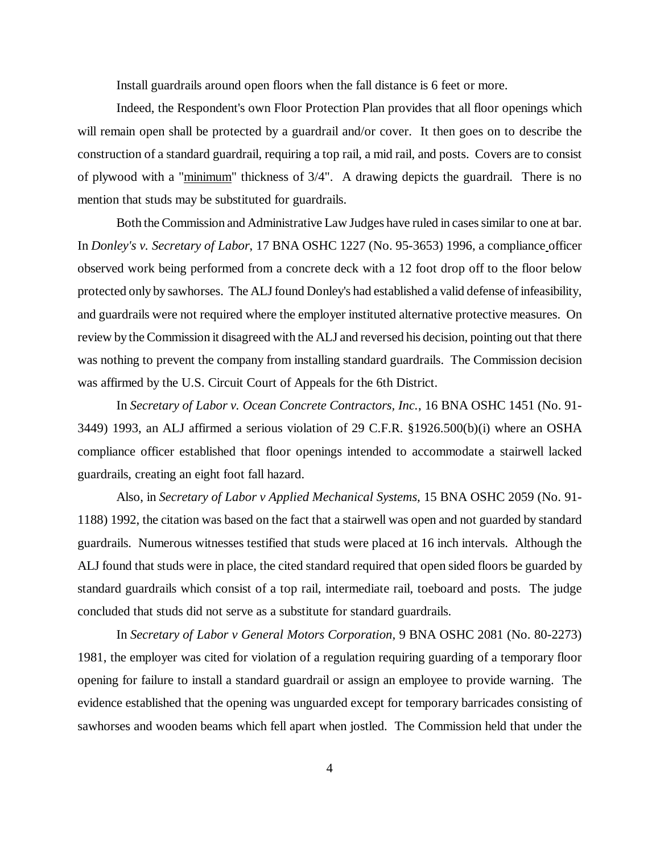Install guardrails around open floors when the fall distance is 6 feet or more.

Indeed, the Respondent's own Floor Protection Plan provides that all floor openings which will remain open shall be protected by a guardrail and/or cover. It then goes on to describe the construction of a standard guardrail, requiring a top rail, a mid rail, and posts. Covers are to consist of plywood with a "minimum" thickness of 3/4". A drawing depicts the guardrail. There is no mention that studs may be substituted for guardrails.

Both the Commission and Administrative Law Judges have ruled in cases similar to one at bar. In *Donley's v. Secretary of Labor*, 17 BNA OSHC 1227 (No. 95-3653) 1996, a compliance officer observed work being performed from a concrete deck with a 12 foot drop off to the floor below protected only by sawhorses. The ALJ found Donley's had established a valid defense of infeasibility, and guardrails were not required where the employer instituted alternative protective measures. On review by the Commission it disagreed with the ALJ and reversed his decision, pointing out that there was nothing to prevent the company from installing standard guardrails. The Commission decision was affirmed by the U.S. Circuit Court of Appeals for the 6th District.

In *Secretary of Labor v. Ocean Concrete Contractors, Inc.*, 16 BNA OSHC 1451 (No. 91- 3449) 1993, an ALJ affirmed a serious violation of 29 C.F.R. §1926.500(b)(i) where an OSHA compliance officer established that floor openings intended to accommodate a stairwell lacked guardrails, creating an eight foot fall hazard.

Also, in *Secretary of Labor v Applied Mechanical Systems,* 15 BNA OSHC 2059 (No. 91- 1188) 1992, the citation was based on the fact that a stairwell was open and not guarded by standard guardrails. Numerous witnesses testified that studs were placed at 16 inch intervals. Although the ALJ found that studs were in place, the cited standard required that open sided floors be guarded by standard guardrails which consist of a top rail, intermediate rail, toeboard and posts. The judge concluded that studs did not serve as a substitute for standard guardrails.

In *Secretary of Labor v General Motors Corporation,* 9 BNA OSHC 2081 (No. 80-2273) 1981, the employer was cited for violation of a regulation requiring guarding of a temporary floor opening for failure to install a standard guardrail or assign an employee to provide warning. The evidence established that the opening was unguarded except for temporary barricades consisting of sawhorses and wooden beams which fell apart when jostled. The Commission held that under the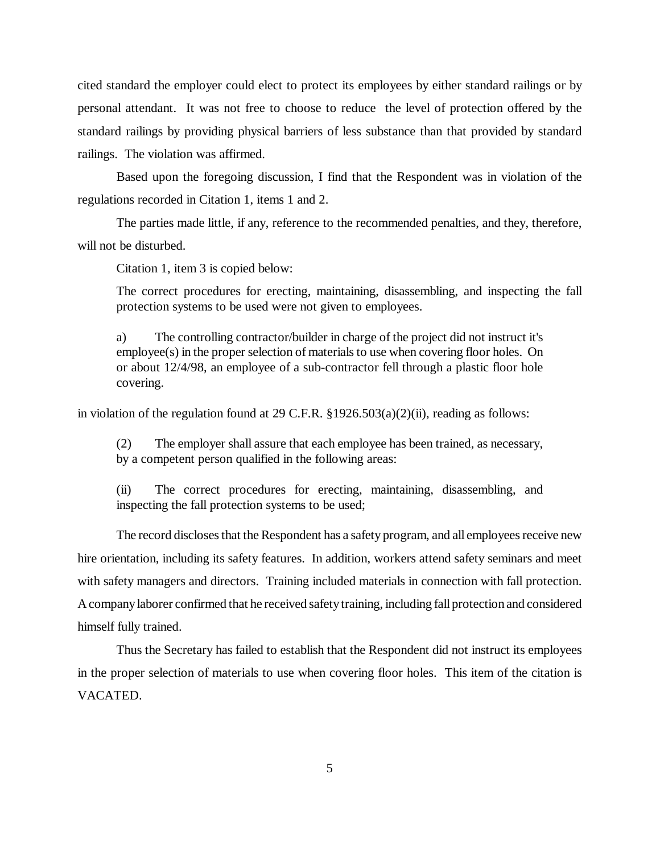cited standard the employer could elect to protect its employees by either standard railings or by personal attendant. It was not free to choose to reduce the level of protection offered by the standard railings by providing physical barriers of less substance than that provided by standard railings. The violation was affirmed.

Based upon the foregoing discussion, I find that the Respondent was in violation of the regulations recorded in Citation 1, items 1 and 2.

The parties made little, if any, reference to the recommended penalties, and they, therefore, will not be disturbed.

Citation 1, item 3 is copied below:

The correct procedures for erecting, maintaining, disassembling, and inspecting the fall protection systems to be used were not given to employees.

a) The controlling contractor/builder in charge of the project did not instruct it's employee(s) in the proper selection of materials to use when covering floor holes. On or about 12/4/98, an employee of a sub-contractor fell through a plastic floor hole covering.

in violation of the regulation found at 29 C.F.R.  $\S 1926.503(a)(2)(ii)$ , reading as follows:

(2) The employer shall assure that each employee has been trained, as necessary, by a competent person qualified in the following areas:

(ii) The correct procedures for erecting, maintaining, disassembling, and inspecting the fall protection systems to be used;

The record discloses that the Respondent has a safety program, and all employees receive new hire orientation, including its safety features. In addition, workers attend safety seminars and meet with safety managers and directors. Training included materials in connection with fall protection. A company laborer confirmed that he received safety training, including fall protection and considered himself fully trained.

Thus the Secretary has failed to establish that the Respondent did not instruct its employees in the proper selection of materials to use when covering floor holes. This item of the citation is VACATED.